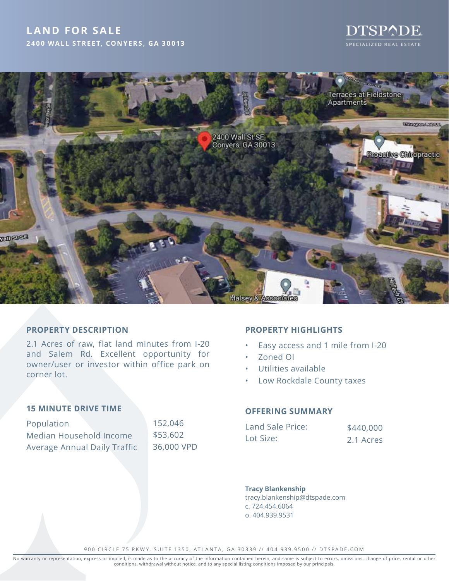# **LAND FOR SALE 2400 WALL STREET, CONYERS, GA 30013**





### **PROPERTY DESCRIPTION**

2.1 Acres of raw, flat land minutes from I-20 and Salem Rd. Excellent opportunity for owner/user or investor within office park on corner lot.

#### **15 MINUTE DRIVE TIME**

| Population                          | 152,046    |
|-------------------------------------|------------|
| Median Household Income             | \$53,602   |
| <b>Average Annual Daily Traffic</b> | 36,000 VPD |

## **PROPERTY HIGHLIGHTS**

- Easy access and 1 mile from I-20
- Zoned OI
- Utilities available
- Low Rockdale County taxes

#### **OFFERING SUMMARY**

| Land Sale Price: | \$440,000 |
|------------------|-----------|
| Lot Size:        | 2.1 Acres |

### **Tracy Blankenship**

tracy.blankenship@dtspade.com c. 724.454.6064 o. 404.939.9531

900 CIRCLE 75 PKWY, SUITE 1350, ATLANTA, GA 30339 // 404.939.9500 // DTSPADE.COM

No warranty or representation, express or implied, is made as to the accuracy of the information contained herein, and same is subject to errors, omissions, change of price, rental or other<br>conditions, withdrawal without n